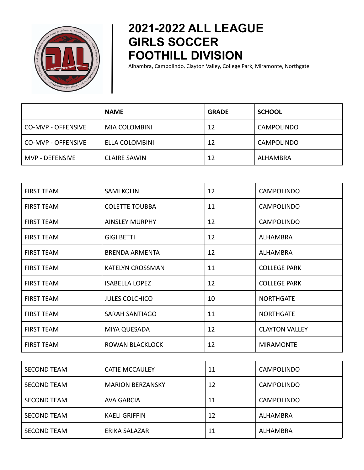

## **2021-2022 ALL LEAGUE GIRLS SOCCER FOOTHILL DIVISION**

Alhambra, Campolindo, Clayton Valley, College Park, Miramonte, Northgate

|                      | <b>NAME</b>         | <b>GRADE</b> | <b>SCHOOL</b>     |
|----------------------|---------------------|--------------|-------------------|
| l CO-MVP - OFFENSIVE | MIA COLOMBINI       | 12           | <b>CAMPOLINDO</b> |
| l CO-MVP - OFFENSIVE | ELLA COLOMBINI      | 12           | <b>CAMPOLINDO</b> |
| MVP - DEFENSIVE      | <b>CLAIRE SAWIN</b> | 12           | ALHAMBRA          |

| <b>FIRST TEAM</b> | <b>SAMI KOLIN</b>       | 12 | <b>CAMPOLINDO</b>     |
|-------------------|-------------------------|----|-----------------------|
| <b>FIRST TEAM</b> | <b>COLETTE TOUBBA</b>   | 11 | <b>CAMPOLINDO</b>     |
| <b>FIRST TEAM</b> | <b>AINSLEY MURPHY</b>   | 12 | <b>CAMPOLINDO</b>     |
| <b>FIRST TEAM</b> | <b>GIGI BETTI</b>       | 12 | <b>ALHAMBRA</b>       |
| <b>FIRST TEAM</b> | <b>BRENDA ARMENTA</b>   | 12 | <b>ALHAMBRA</b>       |
| <b>FIRST TEAM</b> | <b>KATELYN CROSSMAN</b> | 11 | <b>COLLEGE PARK</b>   |
| <b>FIRST TEAM</b> | <b>ISABELLA LOPEZ</b>   | 12 | <b>COLLEGE PARK</b>   |
| <b>FIRST TEAM</b> | <b>JULES COLCHICO</b>   | 10 | <b>NORTHGATE</b>      |
| <b>FIRST TEAM</b> | <b>SARAH SANTIAGO</b>   | 11 | <b>NORTHGATE</b>      |
| <b>FIRST TEAM</b> | MIYA QUESADA            | 12 | <b>CLAYTON VALLEY</b> |
| <b>FIRST TEAM</b> | ROWAN BLACKLOCK         | 12 | <b>MIRAMONTE</b>      |

| <b>SECOND TEAM</b> | <b>CATIE MCCAULEY</b>   | 11 | <b>CAMPOLINDO</b> |
|--------------------|-------------------------|----|-------------------|
| <b>SECOND TEAM</b> | <b>MARION BERZANSKY</b> | 12 | <b>CAMPOLINDO</b> |
| <b>SECOND TEAM</b> | <b>AVA GARCIA</b>       | 11 | <b>CAMPOLINDO</b> |
| <b>SECOND TEAM</b> | <b>KAELI GRIFFIN</b>    | 12 | ALHAMBRA          |
| <b>SECOND TEAM</b> | ERIKA SALAZAR           | 11 | ALHAMBRA          |